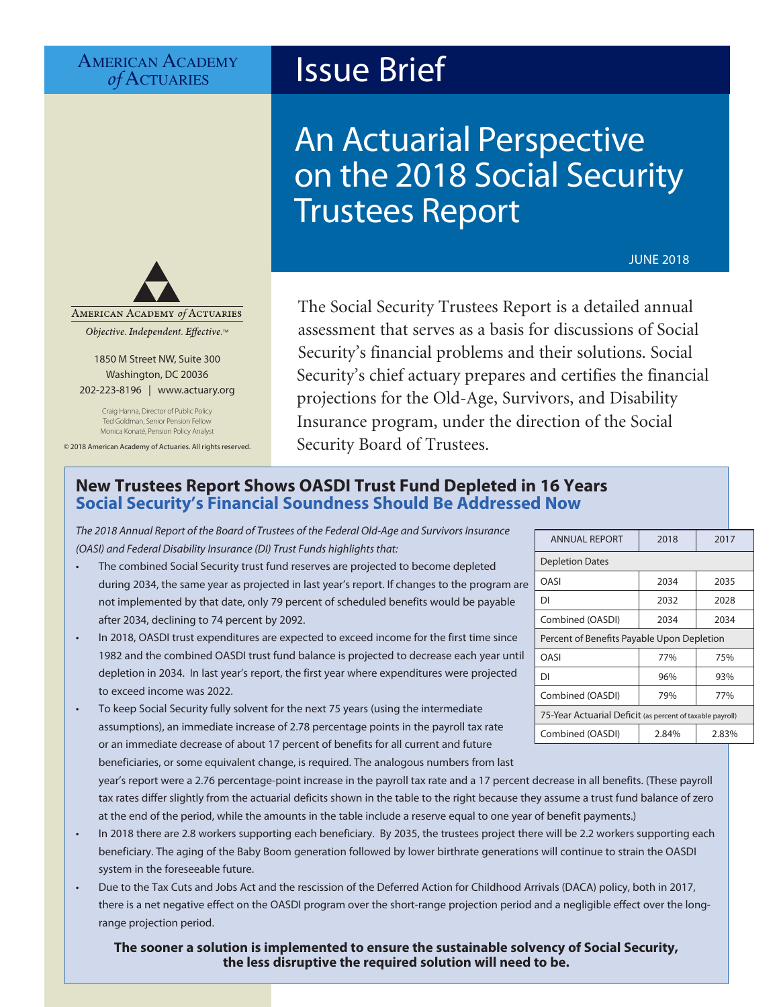# AMERICAN ACADEMY<br> *of* ACTUARIES

# **Issue Brief**

# An Actuarial Perspective on the 2018 Social Security Trustees Report

JUNE 2018



Objective. Independent. Effective.™

1850 M Street NW, Suite 300 Washington, DC 20036 202-223-8196 | [www.actuary.org](http://www.actuary.org)

> Craig Hanna, Director of Public Policy Ted Goldman, Senior Pension Fellow Monica Konaté, Pension Policy Analyst

© 2018 American Academy of Actuaries. All rights reserved.

The Social Security Trustees Report is a detailed annual assessment that serves as a basis for discussions of Social Security's financial problems and their solutions. Social Security's chief actuary prepares and certifies the financial projections for the Old-Age, Survivors, and Disability Insurance program, under the direction of the Social Security Board of Trustees.

# **New Trustees Report Shows OASDI Trust Fund Depleted in 16 Years Social Security's Financial Soundness Should Be Addressed Now**

*The 2018 Annual Report of the Board of Trustees of the Federal Old-Age and Survivors Insurance (OASI) and Federal Disability Insurance (DI) Trust Funds highlights that:*

- The combined Social Security trust fund reserves are projected to become depleted during 2034, the same year as projected in last year's report. If changes to the program are not implemented by that date, only 79 percent of scheduled benefits would be payable after 2034, declining to 74 percent by 2092.
- In 2018, OASDI trust expenditures are expected to exceed income for the first time since 1982 and the combined OASDI trust fund balance is projected to decrease each year until depletion in 2034. In last year's report, the first year where expenditures were projected to exceed income was 2022.
- To keep Social Security fully solvent for the next 75 years (using the intermediate assumptions), an immediate increase of 2.78 percentage points in the payroll tax rate or an immediate decrease of about 17 percent of benefits for all current and future beneficiaries, or some equivalent change, is required. The analogous numbers from last year's report were a 2.76 percentage-point increase in the payroll tax rate and a 17 percent decrease in all benefits. (These payroll
- tax rates differ slightly from the actuarial deficits shown in the table to the right because they assume a trust fund balance of zero at the end of the period, while the amounts in the table include a reserve equal to one year of benefit payments.) • In 2018 there are 2.8 workers supporting each beneficiary. By 2035, the trustees project there will be 2.2 workers supporting each
- beneficiary. The aging of the Baby Boom generation followed by lower birthrate generations will continue to strain the OASDI system in the foreseeable future.
- Due to the Tax Cuts and Jobs Act and the rescission of the Deferred Action for Childhood Arrivals (DACA) policy, both in 2017, there is a net negative effect on the OASDI program over the short-range projection period and a negligible effect over the longrange projection period.

### **The sooner a solution is implemented to ensure the sustainable solvency of Social Security, the less disruptive the required solution will need to be.**

| <b>ANNUAL REPORT</b>                                      | 2018  | 2017  |  |  |  |  |
|-----------------------------------------------------------|-------|-------|--|--|--|--|
| <b>Depletion Dates</b>                                    |       |       |  |  |  |  |
| OASI                                                      | 2034  | 2035  |  |  |  |  |
| DI                                                        | 2032  | 2028  |  |  |  |  |
| Combined (OASDI)                                          | 2034  | 2034  |  |  |  |  |
| Percent of Benefits Payable Upon Depletion                |       |       |  |  |  |  |
| OASI                                                      | 77%   | 75%   |  |  |  |  |
| DΙ                                                        | 96%   | 93%   |  |  |  |  |
| Combined (OASDI)                                          | 79%   | 77%   |  |  |  |  |
| 75-Year Actuarial Deficit (as percent of taxable payroll) |       |       |  |  |  |  |
| Combined (OASDI)                                          | 2.84% | 2.83% |  |  |  |  |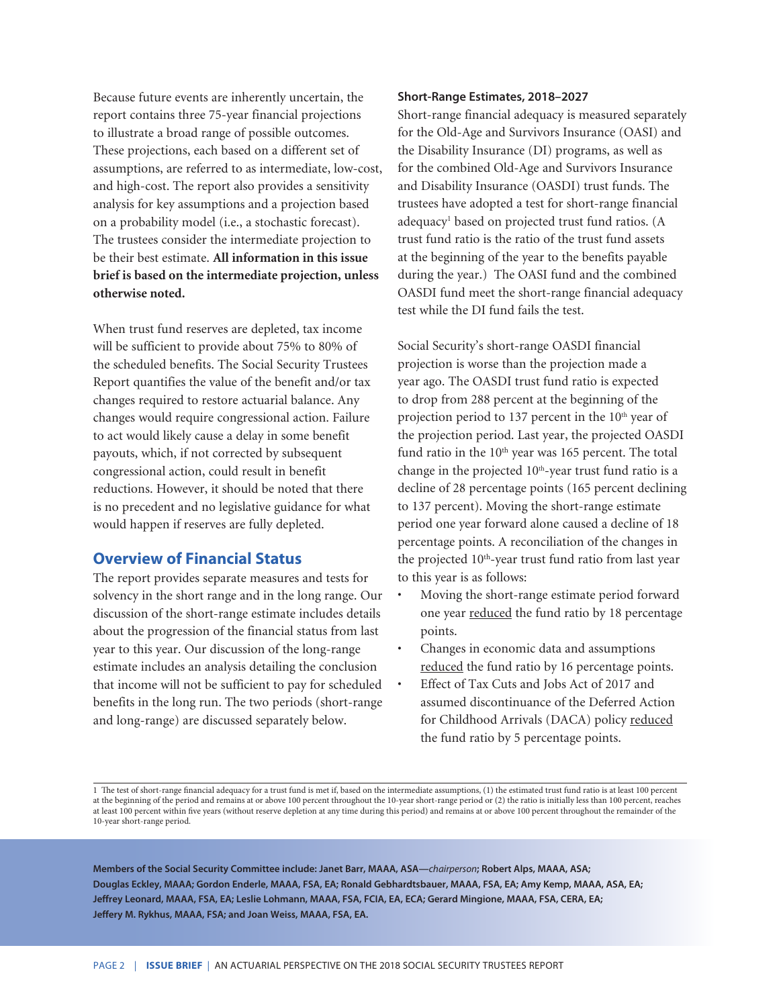Because future events are inherently uncertain, the report contains three 75-year financial projections to illustrate a broad range of possible outcomes. These projections, each based on a different set of assumptions, are referred to as intermediate, low-cost, and high-cost. The report also provides a sensitivity analysis for key assumptions and a projection based on a probability model (i.e., a stochastic forecast). The trustees consider the intermediate projection to be their best estimate. **All information in this issue brief is based on the intermediate projection, unless otherwise noted.**

When trust fund reserves are depleted, tax income will be sufficient to provide about 75% to 80% of the scheduled benefits. The Social Security Trustees Report quantifies the value of the benefit and/or tax changes required to restore actuarial balance. Any changes would require congressional action. Failure to act would likely cause a delay in some benefit payouts, which, if not corrected by subsequent congressional action, could result in benefit reductions. However, it should be noted that there is no precedent and no legislative guidance for what would happen if reserves are fully depleted.

## **Overview of Financial Status**

The report provides separate measures and tests for solvency in the short range and in the long range. Our discussion of the short-range estimate includes details about the progression of the financial status from last year to this year. Our discussion of the long-range estimate includes an analysis detailing the conclusion that income will not be sufficient to pay for scheduled benefits in the long run. The two periods (short-range and long-range) are discussed separately below.

#### **Short-Range Estimates, 2018–2027**

Short-range financial adequacy is measured separately for the Old-Age and Survivors Insurance (OASI) and the Disability Insurance (DI) programs, as well as for the combined Old-Age and Survivors Insurance and Disability Insurance (OASDI) trust funds. The trustees have adopted a test for short-range financial adequacy<sup>1</sup> based on projected trust fund ratios. (A trust fund ratio is the ratio of the trust fund assets at the beginning of the year to the benefits payable during the year.) The OASI fund and the combined OASDI fund meet the short-range financial adequacy test while the DI fund fails the test.

Social Security's short-range OASDI financial projection is worse than the projection made a year ago. The OASDI trust fund ratio is expected to drop from 288 percent at the beginning of the projection period to 137 percent in the 10<sup>th</sup> year of the projection period. Last year, the projected OASDI fund ratio in the  $10<sup>th</sup>$  year was 165 percent. The total change in the projected 10<sup>th</sup>-year trust fund ratio is a decline of 28 percentage points (165 percent declining to 137 percent). Moving the short-range estimate period one year forward alone caused a decline of 18 percentage points. A reconciliation of the changes in the projected 10<sup>th</sup>-year trust fund ratio from last year to this year is as follows:

- Moving the short-range estimate period forward one year reduced the fund ratio by 18 percentage points.
- Changes in economic data and assumptions reduced the fund ratio by 16 percentage points.
- Effect of Tax Cuts and Jobs Act of 2017 and assumed discontinuance of the Deferred Action for Childhood Arrivals (DACA) policy reduced the fund ratio by 5 percentage points.

1 The test of short-range financial adequacy for a trust fund is met if, based on the intermediate assumptions, (1) the estimated trust fund ratio is at least 100 percent at the beginning of the period and remains at or above 100 percent throughout the 10-year short-range period or (2) the ratio is initially less than 100 percent, reaches at least 100 percent within five years (without reserve depletion at any time during this period) and remains at or above 100 percent throughout the remainder of the 10-year short-range period.

**Members of the Social Security Committee include: Janet Barr, MAAA, ASA—***chairperson***; Robert Alps, MAAA, ASA; Douglas Eckley, MAAA; Gordon Enderle, MAAA, FSA, EA; Ronald Gebhardtsbauer, MAAA, FSA, EA; Amy Kemp, MAAA, ASA, EA; Jeffrey Leonard, MAAA, FSA, EA; Leslie Lohmann, MAAA, FSA, FCIA, EA, ECA; Gerard Mingione, MAAA, FSA, CERA, EA; Jeffery M. Rykhus, MAAA, FSA; and Joan Weiss, MAAA, FSA, EA.**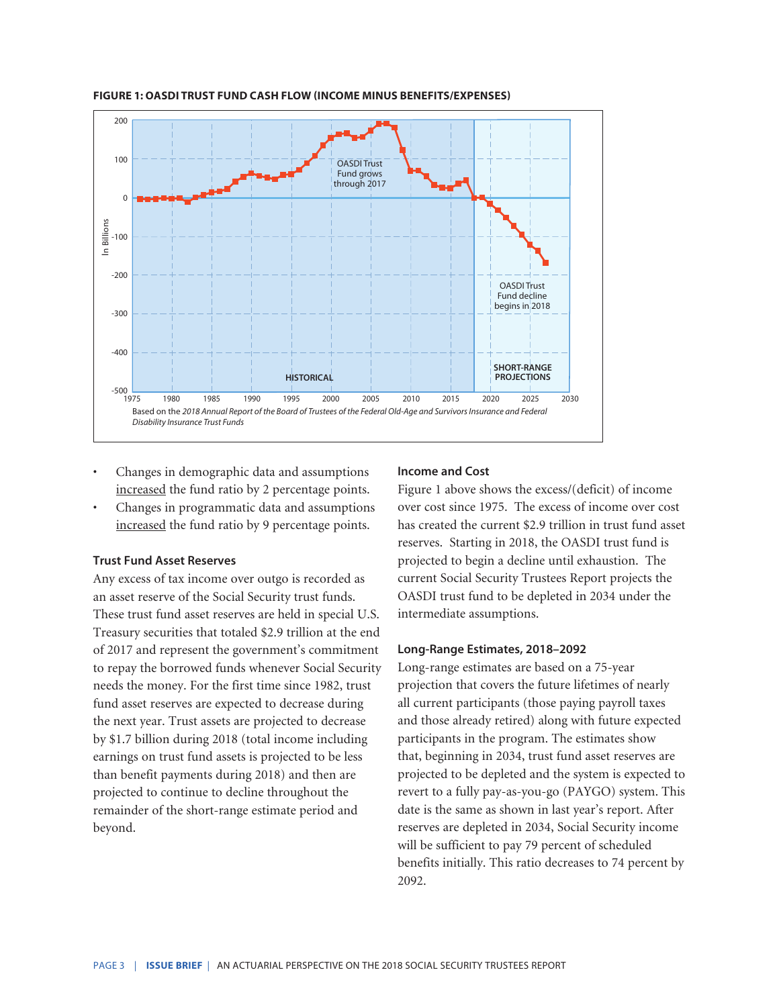

#### **FIGURE 1: OASDI TRUST FUND CASH FLOW (INCOME MINUS BENEFITS/EXPENSES)**

- Changes in demographic data and assumptions increased the fund ratio by 2 percentage points.
- Changes in programmatic data and assumptions increased the fund ratio by 9 percentage points.

#### **Trust Fund Asset Reserves**

Any excess of tax income over outgo is recorded as an asset reserve of the Social Security trust funds. These trust fund asset reserves are held in special U.S. Treasury securities that totaled \$2.9 trillion at the end of 2017 and represent the government's commitment to repay the borrowed funds whenever Social Security needs the money. For the first time since 1982, trust fund asset reserves are expected to decrease during the next year. Trust assets are projected to decrease by \$1.7 billion during 2018 (total income including earnings on trust fund assets is projected to be less than benefit payments during 2018) and then are projected to continue to decline throughout the remainder of the short-range estimate period and beyond.

#### **Income and Cost**

Figure 1 above shows the excess/(deficit) of income over cost since 1975. The excess of income over cost has created the current \$2.9 trillion in trust fund asset reserves. Starting in 2018, the OASDI trust fund is projected to begin a decline until exhaustion. The current Social Security Trustees Report projects the OASDI trust fund to be depleted in 2034 under the intermediate assumptions.

#### **Long-Range Estimates, 2018–2092**

Long-range estimates are based on a 75-year projection that covers the future lifetimes of nearly all current participants (those paying payroll taxes and those already retired) along with future expected participants in the program. The estimates show that, beginning in 2034, trust fund asset reserves are projected to be depleted and the system is expected to revert to a fully pay-as-you-go (PAYGO) system. This date is the same as shown in last year's report. After reserves are depleted in 2034, Social Security income will be sufficient to pay 79 percent of scheduled benefits initially. This ratio decreases to 74 percent by 2092.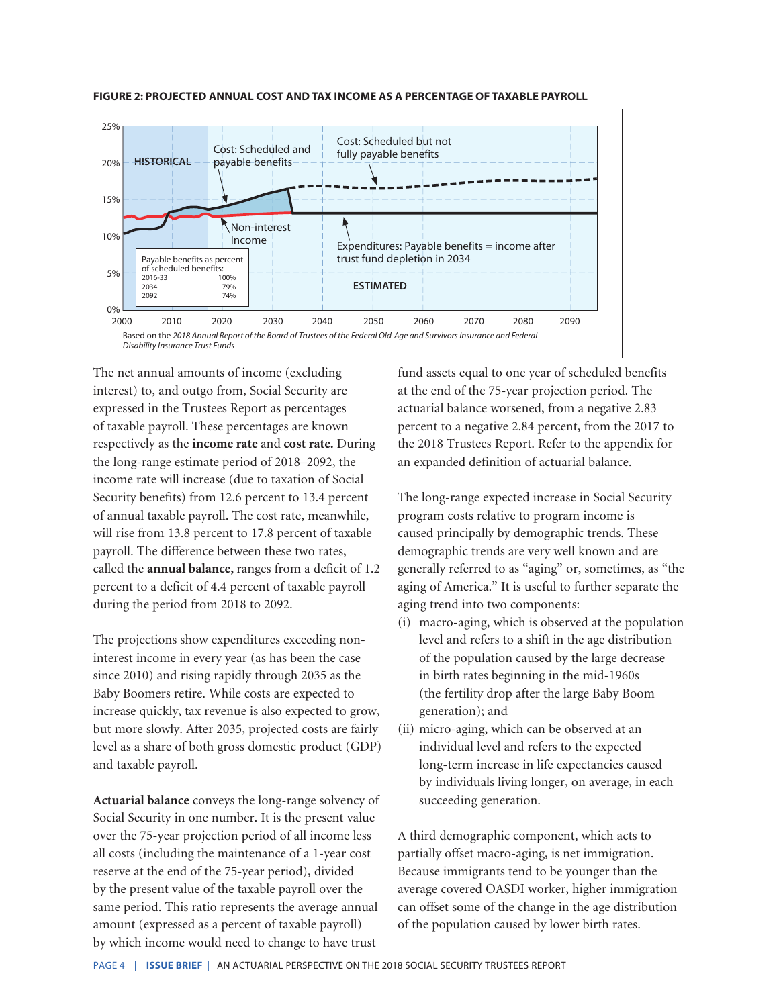

**FIGURE 2: PROJECTED ANNUAL COST AND TAX INCOME AS A PERCENTAGE OF TAXABLE PAYROLL**

The net annual amounts of income (excluding interest) to, and outgo from, Social Security are expressed in the Trustees Report as percentages of taxable payroll. These percentages are known respectively as the **income rate** and **cost rate.** During the long-range estimate period of 2018–2092, the income rate will increase (due to taxation of Social Security benefits) from 12.6 percent to 13.4 percent of annual taxable payroll. The cost rate, meanwhile, will rise from 13.8 percent to 17.8 percent of taxable payroll. The difference between these two rates, called the **annual balance,** ranges from a deficit of 1.2 percent to a deficit of 4.4 percent of taxable payroll during the period from 2018 to 2092.

The projections show expenditures exceeding noninterest income in every year (as has been the case since 2010) and rising rapidly through 2035 as the Baby Boomers retire. While costs are expected to increase quickly, tax revenue is also expected to grow, but more slowly. After 2035, projected costs are fairly level as a share of both gross domestic product (GDP) and taxable payroll.

**Actuarial balance** conveys the long-range solvency of Social Security in one number. It is the present value over the 75-year projection period of all income less all costs (including the maintenance of a 1-year cost reserve at the end of the 75-year period), divided by the present value of the taxable payroll over the same period. This ratio represents the average annual amount (expressed as a percent of taxable payroll) by which income would need to change to have trust

fund assets equal to one year of scheduled benefits at the end of the 75-year projection period. The actuarial balance worsened, from a negative 2.83 percent to a negative 2.84 percent, from the 2017 to the 2018 Trustees Report. Refer to the appendix for an expanded definition of actuarial balance.

The long-range expected increase in Social Security program costs relative to program income is caused principally by demographic trends. These demographic trends are very well known and are generally referred to as "aging" or, sometimes, as "the aging of America." It is useful to further separate the aging trend into two components:

- (i) macro-aging, which is observed at the population level and refers to a shift in the age distribution of the population caused by the large decrease in birth rates beginning in the mid-1960s (the fertility drop after the large Baby Boom generation); and
- (ii) micro-aging, which can be observed at an individual level and refers to the expected long-term increase in life expectancies caused by individuals living longer, on average, in each succeeding generation.

A third demographic component, which acts to partially offset macro-aging, is net immigration. Because immigrants tend to be younger than the average covered OASDI worker, higher immigration can offset some of the change in the age distribution of the population caused by lower birth rates.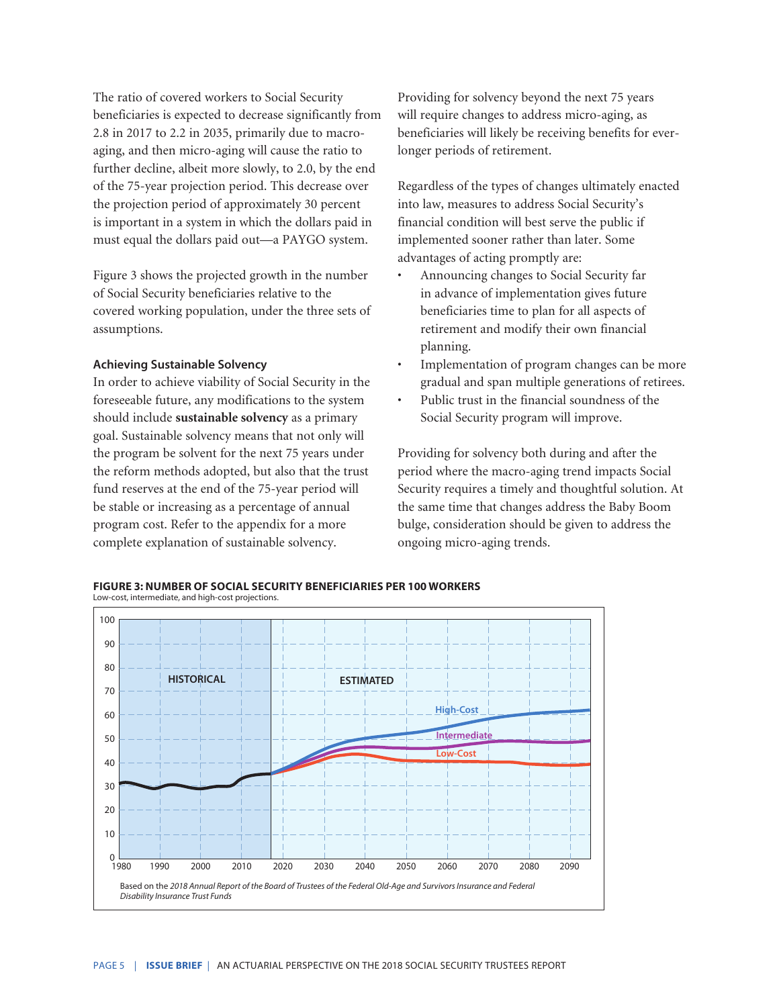The ratio of covered workers to Social Security beneficiaries is expected to decrease significantly from 2.8 in 2017 to 2.2 in 2035, primarily due to macroaging, and then micro-aging will cause the ratio to further decline, albeit more slowly, to 2.0, by the end of the 75-year projection period. This decrease over the projection period of approximately 30 percent is important in a system in which the dollars paid in must equal the dollars paid out—a PAYGO system.

Figure 3 shows the projected growth in the number of Social Security beneficiaries relative to the covered working population, under the three sets of assumptions.

#### **Achieving Sustainable Solvency**

In order to achieve viability of Social Security in the foreseeable future, any modifications to the system should include **sustainable solvency** as a primary goal. Sustainable solvency means that not only will the program be solvent for the next 75 years under the reform methods adopted, but also that the trust fund reserves at the end of the 75-year period will be stable or increasing as a percentage of annual program cost. Refer to the appendix for a more complete explanation of sustainable solvency.

Providing for solvency beyond the next 75 years will require changes to address micro-aging, as beneficiaries will likely be receiving benefits for everlonger periods of retirement.

Regardless of the types of changes ultimately enacted into law, measures to address Social Security's financial condition will best serve the public if implemented sooner rather than later. Some advantages of acting promptly are:

- Announcing changes to Social Security far in advance of implementation gives future beneficiaries time to plan for all aspects of retirement and modify their own financial planning.
- Implementation of program changes can be more gradual and span multiple generations of retirees.
- Public trust in the financial soundness of the Social Security program will improve.

Providing for solvency both during and after the period where the macro-aging trend impacts Social Security requires a timely and thoughtful solution. At the same time that changes address the Baby Boom bulge, consideration should be given to address the ongoing micro-aging trends.

**FIGURE 3: NUMBER OF SOCIAL SECURITY BENEFICIARIES PER 100 WORKERS**

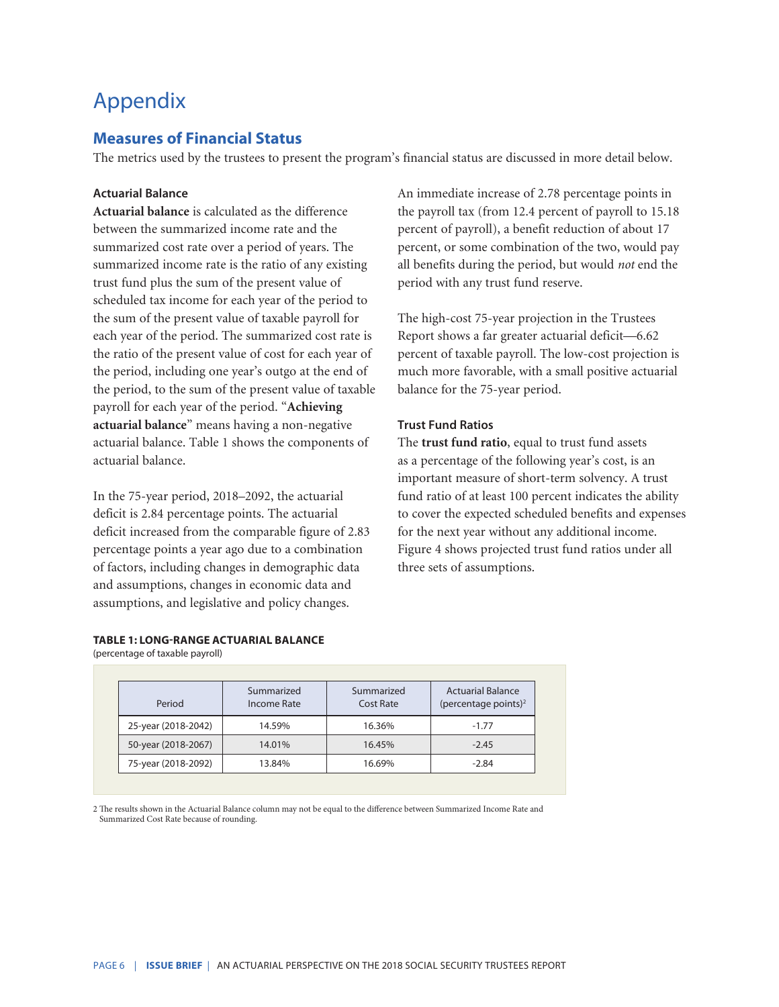# Appendix

# **Measures of Financial Status**

The metrics used by the trustees to present the program's financial status are discussed in more detail below.

#### **Actuarial Balance**

**Actuarial balance** is calculated as the difference between the summarized income rate and the summarized cost rate over a period of years. The summarized income rate is the ratio of any existing trust fund plus the sum of the present value of scheduled tax income for each year of the period to the sum of the present value of taxable payroll for each year of the period. The summarized cost rate is the ratio of the present value of cost for each year of the period, including one year's outgo at the end of the period, to the sum of the present value of taxable payroll for each year of the period. "**Achieving actuarial balance**" means having a non-negative actuarial balance. Table 1 shows the components of actuarial balance.

In the 75-year period, 2018–2092, the actuarial deficit is 2.84 percentage points. The actuarial deficit increased from the comparable figure of 2.83 percentage points a year ago due to a combination of factors, including changes in demographic data and assumptions, changes in economic data and assumptions, and legislative and policy changes.

#### **TABLE 1: LONG-RANGE ACTUARIAL BALANCE**

(percentage of taxable payroll)

An immediate increase of 2.78 percentage points in the payroll tax (from 12.4 percent of payroll to 15.18 percent of payroll), a benefit reduction of about 17 percent, or some combination of the two, would pay all benefits during the period, but would *not* end the period with any trust fund reserve.

The high-cost 75-year projection in the Trustees Report shows a far greater actuarial deficit—6.62 percent of taxable payroll. The low-cost projection is much more favorable, with a small positive actuarial balance for the 75-year period.

#### **Trust Fund Ratios**

The **trust fund ratio**, equal to trust fund assets as a percentage of the following year's cost, is an important measure of short-term solvency. A trust fund ratio of at least 100 percent indicates the ability to cover the expected scheduled benefits and expenses for the next year without any additional income. Figure 4 shows projected trust fund ratios under all three sets of assumptions.

| Period              | Summarized<br>Income Rate | Summarized<br>Cost Rate | <b>Actuarial Balance</b><br>(percentage points) <sup>2</sup> |
|---------------------|---------------------------|-------------------------|--------------------------------------------------------------|
| 25-year (2018-2042) | 14.59%                    | 16.36%                  | $-1.77$                                                      |
| 50-year (2018-2067) | 14.01%                    | 16.45%                  | $-2.45$                                                      |
| 75-year (2018-2092) | 13.84%                    | 16.69%                  | $-2.84$                                                      |

2 The results shown in the Actuarial Balance column may not be equal to the difference between Summarized Income Rate and Summarized Cost Rate because of rounding.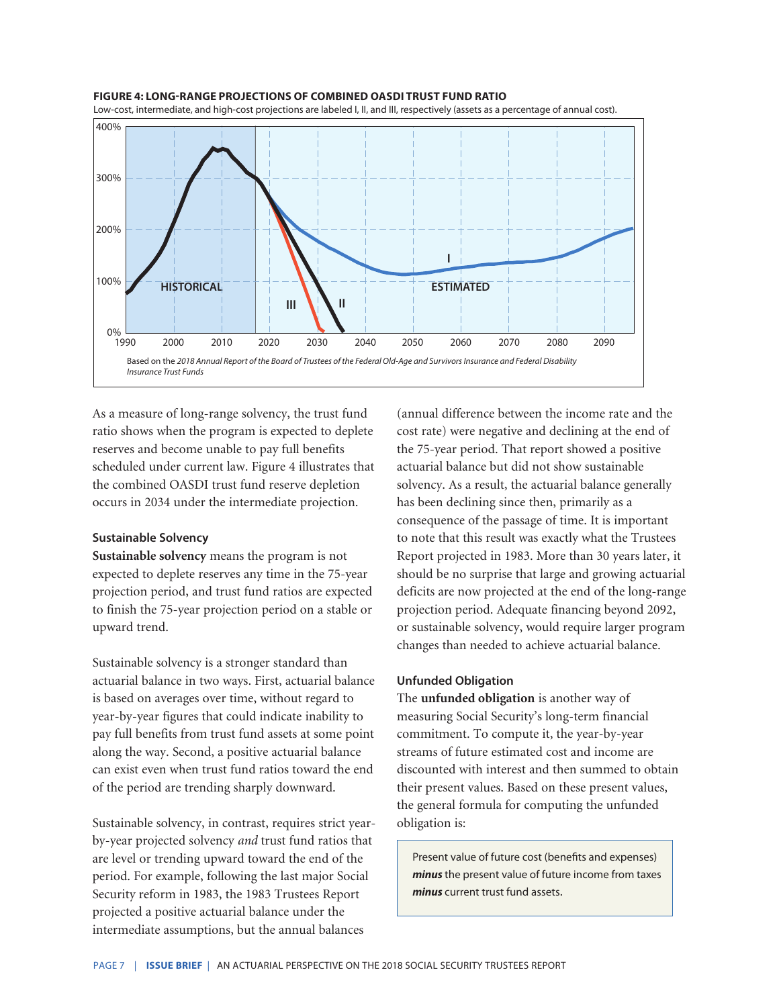#### **FIGURE 4: LONG-RANGE PROJECTIONS OF COMBINED OASDI TRUST FUND RATIO**



As a measure of long-range solvency, the trust fund ratio shows when the program is expected to deplete reserves and become unable to pay full benefits scheduled under current law. Figure 4 illustrates that the combined OASDI trust fund reserve depletion occurs in 2034 under the intermediate projection.

#### **Sustainable Solvency**

**Sustainable solvency** means the program is not expected to deplete reserves any time in the 75-year projection period, and trust fund ratios are expected to finish the 75-year projection period on a stable or upward trend.

Sustainable solvency is a stronger standard than actuarial balance in two ways. First, actuarial balance is based on averages over time, without regard to year-by-year figures that could indicate inability to pay full benefits from trust fund assets at some point along the way. Second, a positive actuarial balance can exist even when trust fund ratios toward the end of the period are trending sharply downward.

Sustainable solvency, in contrast, requires strict yearby-year projected solvency *and* trust fund ratios that are level or trending upward toward the end of the period. For example, following the last major Social Security reform in 1983, the 1983 Trustees Report projected a positive actuarial balance under the intermediate assumptions, but the annual balances

(annual difference between the income rate and the cost rate) were negative and declining at the end of the 75-year period. That report showed a positive actuarial balance but did not show sustainable solvency. As a result, the actuarial balance generally has been declining since then, primarily as a consequence of the passage of time. It is important to note that this result was exactly what the Trustees Report projected in 1983. More than 30 years later, it should be no surprise that large and growing actuarial deficits are now projected at the end of the long-range projection period. Adequate financing beyond 2092, or sustainable solvency, would require larger program changes than needed to achieve actuarial balance.

#### **Unfunded Obligation**

The **unfunded obligation** is another way of measuring Social Security's long-term financial commitment. To compute it, the year-by-year streams of future estimated cost and income are discounted with interest and then summed to obtain their present values. Based on these present values, the general formula for computing the unfunded obligation is:

Present value of future cost (benefits and expenses) *minus* the present value of future income from taxes *minus* current trust fund assets.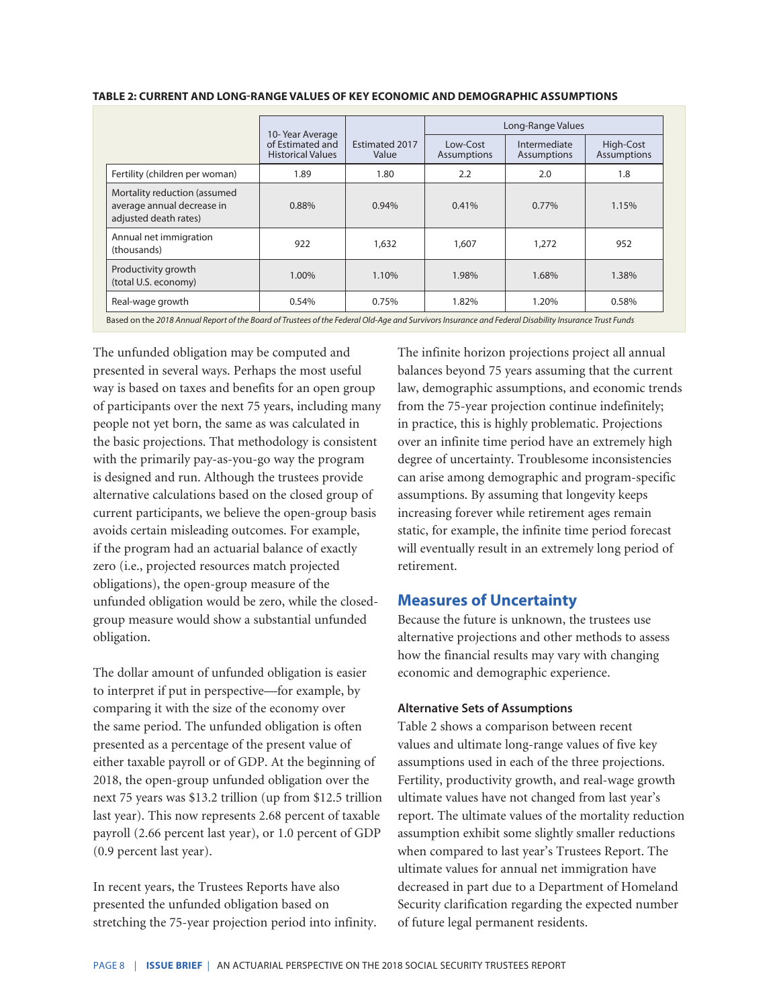|                                                                                     | 10-Year Average<br>of Estimated and<br><b>Historical Values</b> |                                | Long-Range Values       |                             |                                 |
|-------------------------------------------------------------------------------------|-----------------------------------------------------------------|--------------------------------|-------------------------|-----------------------------|---------------------------------|
|                                                                                     |                                                                 | <b>Estimated 2017</b><br>Value | Low-Cost<br>Assumptions | Intermediate<br>Assumptions | High-Cost<br><b>Assumptions</b> |
| Fertility (children per woman)                                                      | 1.89                                                            | 1.80                           | 2.2                     | 2.0                         | 1.8                             |
| Mortality reduction (assumed<br>average annual decrease in<br>adjusted death rates) | 0.88%                                                           | 0.94%                          | 0.41%                   | 0.77%                       | 1.15%                           |
| Annual net immigration<br>(thousands)                                               | 922                                                             | 1,632                          | 1,607                   | 1,272                       | 952                             |
| Productivity growth<br>(total U.S. economy)                                         | 1.00%                                                           | 1.10%                          | 1.98%                   | 1.68%                       | 1.38%                           |
| Real-wage growth                                                                    | 0.54%                                                           | 0.75%                          | 1.82%                   | 1.20%                       | 0.58%                           |

#### **TABLE 2: CURRENT AND LONG-RANGE VALUES OF KEY ECONOMIC AND DEMOGRAPHIC ASSUMPTIONS**

Based on the *2018 Annual Report of the Board of Trustees of the Federal Old-Age and Survivors Insurance and Federal Disability Insurance Trust Funds*

The unfunded obligation may be computed and presented in several ways. Perhaps the most useful way is based on taxes and benefits for an open group of participants over the next 75 years, including many people not yet born, the same as was calculated in the basic projections. That methodology is consistent with the primarily pay-as-you-go way the program is designed and run. Although the trustees provide alternative calculations based on the closed group of current participants, we believe the open-group basis avoids certain misleading outcomes. For example, if the program had an actuarial balance of exactly zero (i.e., projected resources match projected obligations), the open-group measure of the unfunded obligation would be zero, while the closedgroup measure would show a substantial unfunded obligation.

The dollar amount of unfunded obligation is easier to interpret if put in perspective—for example, by comparing it with the size of the economy over the same period. The unfunded obligation is often presented as a percentage of the present value of either taxable payroll or of GDP. At the beginning of 2018, the open-group unfunded obligation over the next 75 years was \$13.2 trillion (up from \$12.5 trillion last year). This now represents 2.68 percent of taxable payroll (2.66 percent last year), or 1.0 percent of GDP (0.9 percent last year).

In recent years, the Trustees Reports have also presented the unfunded obligation based on stretching the 75-year projection period into infinity. The infinite horizon projections project all annual balances beyond 75 years assuming that the current law, demographic assumptions, and economic trends from the 75-year projection continue indefinitely; in practice, this is highly problematic. Projections over an infinite time period have an extremely high degree of uncertainty. Troublesome inconsistencies can arise among demographic and program-specific assumptions. By assuming that longevity keeps increasing forever while retirement ages remain static, for example, the infinite time period forecast will eventually result in an extremely long period of retirement.

## **Measures of Uncertainty**

Because the future is unknown, the trustees use alternative projections and other methods to assess how the financial results may vary with changing economic and demographic experience.

#### **Alternative Sets of Assumptions**

Table 2 shows a comparison between recent values and ultimate long-range values of five key assumptions used in each of the three projections. Fertility, productivity growth, and real-wage growth ultimate values have not changed from last year's report. The ultimate values of the mortality reduction assumption exhibit some slightly smaller reductions when compared to last year's Trustees Report. The ultimate values for annual net immigration have decreased in part due to a Department of Homeland Security clarification regarding the expected number of future legal permanent residents.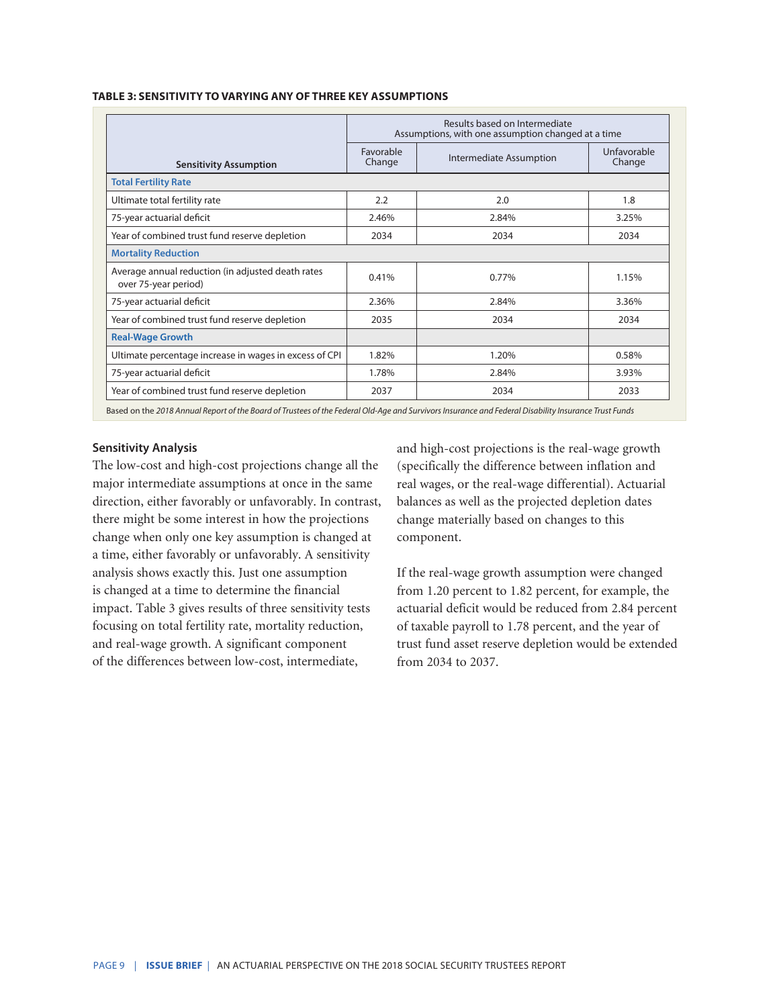|                                                                           | Results based on Intermediate<br>Assumptions, with one assumption changed at a time |                         |                       |  |
|---------------------------------------------------------------------------|-------------------------------------------------------------------------------------|-------------------------|-----------------------|--|
| <b>Sensitivity Assumption</b>                                             | Favorable<br>Change                                                                 | Intermediate Assumption | Unfavorable<br>Change |  |
| <b>Total Fertility Rate</b>                                               |                                                                                     |                         |                       |  |
| Ultimate total fertility rate                                             | 2.2                                                                                 | 2.0                     | 1.8                   |  |
| 75-year actuarial deficit                                                 | 2.46%                                                                               | 2.84%                   | 3.25%                 |  |
| Year of combined trust fund reserve depletion                             | 2034                                                                                | 2034                    | 2034                  |  |
| <b>Mortality Reduction</b>                                                |                                                                                     |                         |                       |  |
| Average annual reduction (in adjusted death rates<br>over 75-year period) | 0.41%                                                                               | 0.77%                   | 1.15%                 |  |
| 75-year actuarial deficit                                                 | 2.36%                                                                               | 2.84%                   | 3.36%                 |  |
| Year of combined trust fund reserve depletion                             | 2035                                                                                | 2034                    | 2034                  |  |
| <b>Real-Wage Growth</b>                                                   |                                                                                     |                         |                       |  |
| Ultimate percentage increase in wages in excess of CPI                    | 1.82%                                                                               | 1.20%                   | 0.58%                 |  |
| 75-year actuarial deficit                                                 | 1.78%                                                                               | 2.84%                   | 3.93%                 |  |
| Year of combined trust fund reserve depletion                             | 2037                                                                                | 2034                    | 2033                  |  |

#### **TABLE 3: SENSITIVITY TO VARYING ANY OF THREE KEY ASSUMPTIONS**

Based on the *2018 Annual Report of the Board of Trustees of the Federal Old-Age and Survivors Insurance and Federal Disability Insurance Trust Funds*

#### **Sensitivity Analysis**

The low-cost and high-cost projections change all the major intermediate assumptions at once in the same direction, either favorably or unfavorably. In contrast, there might be some interest in how the projections change when only one key assumption is changed at a time, either favorably or unfavorably. A sensitivity analysis shows exactly this. Just one assumption is changed at a time to determine the financial impact. Table 3 gives results of three sensitivity tests focusing on total fertility rate, mortality reduction, and real-wage growth. A significant component of the differences between low-cost, intermediate,

and high-cost projections is the real-wage growth (specifically the difference between inflation and real wages, or the real-wage differential). Actuarial balances as well as the projected depletion dates change materially based on changes to this component.

If the real-wage growth assumption were changed from 1.20 percent to 1.82 percent, for example, the actuarial deficit would be reduced from 2.84 percent of taxable payroll to 1.78 percent, and the year of trust fund asset reserve depletion would be extended from 2034 to 2037.